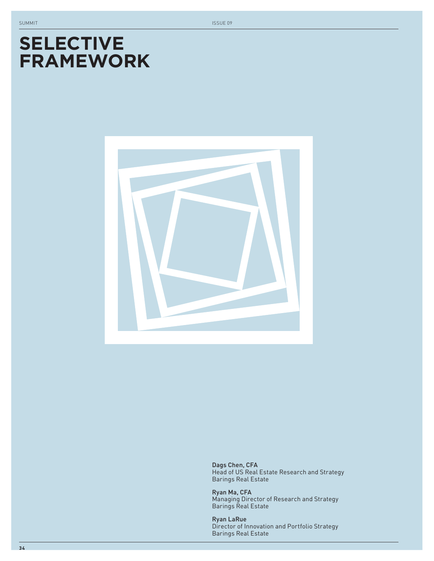# **SELECTIVE FRAMEWORK**



Dags Chen, CFA Head of US Real Estate Research and Strategy Barings Real Estate

Ryan Ma, CFA Managing Director of Research and Strategy Barings Real Estate

Ryan LaRue Director of Innovation and Portfolio Strategy Barings Real Estate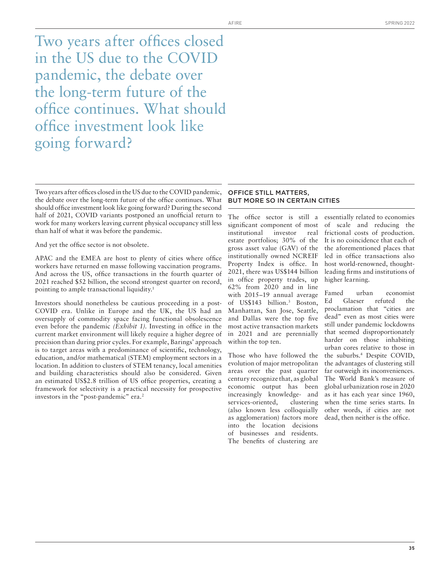Two years after offices closed in the US due to the COVID pandemic, the debate over the long-term future of the office continues. What should office investment look like going forward?

Two years after offices closed in the US due to the COVID pandemic, the debate over the long-term future of the office continues. What should office investment look like going forward? During the second half of 2021, COVID variants postponed an unofficial return to work for many workers leaving current physical occupancy still less than half of what it was before the pandemic.

And yet the office sector is not obsolete.

APAC and the EMEA are host to plenty of cities where office workers have returned en masse following vaccination programs. And across the US, office transactions in the fourth quarter of 2021 reached \$52 billion, the second strongest quarter on record, pointing to ample transactional liquidity.<sup>1</sup>

Investors should nonetheless be cautious proceeding in a post-COVID era. Unlike in Europe and the UK, the US had an oversupply of commodity space facing functional obsolescence even before the pandemic *(Exhibit 1)*. Investing in office in the current market environment will likely require a higher degree of precision than during prior cycles. For example, Barings' approach is to target areas with a predominance of scientific, technology, education, and/or mathematical (STEM) employment sectors in a location. In addition to clusters of STEM tenancy, local amenities and building characteristics should also be considered. Given an estimated US\$2.8 trillion of US office properties, creating a framework for selectivity is a practical necessity for prospective investors in the "post-pandemic" era.<sup>2</sup>

## OFFICE STILL MATTERS, BUT MORE SO IN CERTAIN CITIES

The office sector is still a significant component of most institutional investor real estate portfolios; 30% of the gross asset value (GAV) of the institutionally owned NCREIF Property Index is office. In 2021, there was US\$144 billion in office property trades, up 62% from 2020 and in line with 2015–19 annual average of US\$143 billion.3 Boston, Manhattan, San Jose, Seattle, and Dallas were the top five most active transaction markets in 2021 and are perennially within the top ten.

Those who have followed the evolution of major metropolitan areas over the past quarter century recognize that, as global economic output has been increasingly knowledge- and services-oriented, clustering (also known less colloquially as agglomeration) factors more into the location decisions of businesses and residents. The benefits of clustering are

essentially related to economies of scale and reducing the frictional costs of production. It is no coincidence that each of the aforementioned places that led in office transactions also host world-renowned, thoughtleading firms and institutions of higher learning.

Famed urban economist Ed Glaeser refuted the proclamation that "cities are dead" even as most cities were still under pandemic lockdowns that seemed disproportionately harder on those inhabiting urban cores relative to those in the suburbs.4 Despite COVID, the advantages of clustering still far outweigh its inconveniences. The World Bank's measure of global urbanization rose in 2020 as it has each year since 1960, when the time series starts. In other words, if cities are not dead, then neither is the office.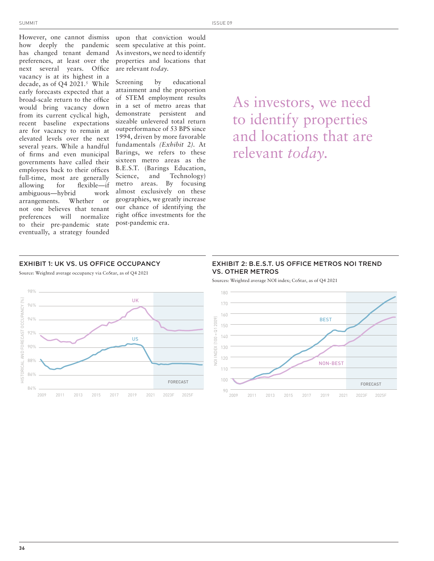However, one cannot dismiss how deeply the pandemic has changed tenant demand preferences, at least over the next several years. Office vacancy is at its highest in a decade, as of Q4 2021. $5$  While early forecasts expected that a broad-scale return to the office would bring vacancy down from its current cyclical high, recent baseline expectations are for vacancy to remain at elevated levels over the next several years. While a handful of firms and even municipal governments have called their employees back to their offices full-time, most are generally allowing for flexible—if ambiguous—hybrid work arrangements. Whether or not one believes that tenant preferences will normalize to their pre-pandemic state eventually, a strategy founded

upon that conviction would seem speculative at this point. As investors, we need to identify properties and locations that are relevant *today.*

Screening by educational attainment and the proportion of STEM employment results in a set of metro areas that demonstrate persistent and sizeable unlevered total return outperformance of 53 BPS since 1994, driven by more favorable fundamentals *(Exhibit 2).* At Barings, we refers to these sixteen metro areas as the B.E.S.T. (Barings Education, Science, and Technology) metro areas. By focusing almost exclusively on these geographies, we greatly increase our chance of identifying the right office investments for the post-pandemic era.

As investors, we need to identify properties and locations that are relevant *today.*

## EXHIBIT 1: UK VS. US OFFICE OCCUPANCY

Source: Weighted average occupancy via CoStar, as of Q4 2021



## EXHIBIT 2: B.E.S.T. US OFFICE METROS NOI TREND VS. OTHER METROS

Sources: Weighted average NOI index; CoStar, as of Q4 2021

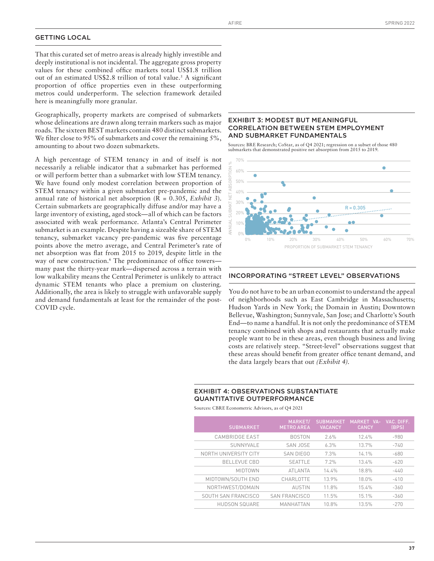## GETTING LOCAL

That this curated set of metro areas is already highly investible and deeply institutional is not incidental. The aggregate gross property values for these combined office markets total US\$1.8 trillion out of an estimated US\$2.8 trillion of total value.<sup>5</sup> A significant proportion of office properties even in these outperforming metros could underperform. The selection framework detailed here is meaningfully more granular.

Geographically, property markets are comprised of submarkets whose delineations are drawn along terrain markers such as major roads. The sixteen BEST markets contain 480 distinct submarkets. We filter close to 95% of submarkets and cover the remaining  $5\%$ , amounting to about two dozen submarkets.

A high percentage of STEM tenancy in and of itself is not necessarily a reliable indicator that a submarket has performed or will perform better than a submarket with low STEM tenancy. We have found only modest correlation between proportion of STEM tenancy within a given submarket pre-pandemic and the annual rate of historical net absorption (R = 0.305, *Exhibit 3*). Certain submarkets are geographically diffuse and/or may have a large inventory of existing, aged stock—all of which can be factors associated with weak performance. Atlanta's Central Perimeter submarket is an example. Despite having a sizeable share of STEM tenancy, submarket vacancy pre-pandemic was five percentage points above the metro average, and Central Perimeter's rate of net absorption was flat from 2015 to 2019, despite little in the way of new construction.<sup>6</sup> The predominance of office towers many past the thirty-year mark—dispersed across a terrain with low walkability means the Central Perimeter is unlikely to attract dynamic STEM tenants who place a premium on clustering. Additionally, the area is likely to struggle with unfavorable supply and demand fundamentals at least for the remainder of the post-COVID cycle.

### EXHIBIT 3: MODEST BUT MEANINGFUL CORRELATION BETWEEN STEM EMPLOYMENT AND SUBMARKET FUNDAMENTALS

Sources: BRE Research; CoStar, as of Q4 2021; regression on a subset of those 480 submarkets that demonstrated positive net absorption from 2015 to 2019.



#### INCORPORATING "STREET LEVEL" OBSERVATIONS

You do not have to be an urban economist to understand the appeal of neighborhoods such as East Cambridge in Massachusetts; Hudson Yards in New York; the Domain in Austin; Downtown Bellevue, Washington; Sunnyvale, San Jose; and Charlotte's South End—to name a handful. It is not only the predominance of STEM tenancy combined with shops and restaurants that actually make people want to be in these areas, even though business and living costs are relatively steep. "Street-level" observations suggest that these areas should benefit from greater office tenant demand, and the data largely bears that out *(Exhibit 4).*

#### EXHIBIT 4: OBSERVATIONS SUBSTANTIATE QUANTITATIVE OUTPERFORMANCE

Sources: CBRE Econometric Advisors, as of Q4 2021

| <b>SUBMARKET</b>      | MARKET/<br><b>METRO AREA</b> | <b>SUBMARKET</b><br><b>VACANCY</b> | MARKET VA-<br><b>CANCY</b> | VAC. DIFF.<br>(BPS) |
|-----------------------|------------------------------|------------------------------------|----------------------------|---------------------|
| CAMBRIDGE EAST        | <b>BOSTON</b>                | 2.6%                               | 12.4%                      | $-980$              |
| SUNNYVALE             | SAN JOSE                     | 6.3%                               | 13.7%                      | $-740$              |
| NORTH UNIVERSITY CITY | SAN DIEGO                    | 7.3%                               | 14 1%                      | $-680$              |
| <b>BELLEVUE CBD</b>   | <b>SEATTIF</b>               | 7.2%                               | 134%                       | $-620$              |
| <b>MIDTOWN</b>        | <b>ATI ANTA</b>              | 14.4%                              | 18.8%                      | $-440$              |
| MIDTOWN/SOUTH END     | CHARLOTTE                    | 13 9%                              | 18.0%                      | $-410$              |
| NORTHWEST/DOMAIN      | <b>AUSTIN</b>                | 11.8%                              | 15.4%                      | $-360$              |
| SOUTH SAN FRANCISCO   | <b>SAN FRANCISCO</b>         | 11.5%                              | 15.1%                      | $-360$              |
| <b>HUDSON SQUARE</b>  | MANHATTAN                    | 10.8%                              | 13.5%                      | $-270$              |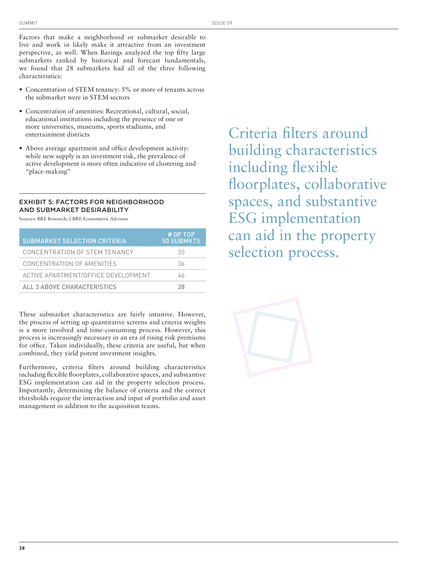Factors that make a neighborhood or submarket desirable to live and work in likely make it attractive from an investment perspective, as well. When Barings analyzed the top fifty large submarkets ranked by historical and forecast fundamentals, we found that 28 submarkets had all of the three following characteristics:

- Concentration of STEM tenancy: 5% or more of tenants across the submarket were in STEM sectors
- Concentration of amenities: Recreational, cultural, social, educational institutions including the presence of one or more universities, museums, sports stadiums, and entertainment districts
- Above average apartment and office development activity: while new supply is an investment risk, the prevalence of active development is more often indicative of clustering and "place-making"

## EXHIBIT 5: FACTORS FOR NEIGHBORHOOD AND SUBMARKET DESIRABILITY

Sources: BRE Research; CBRE Econometric Advisors

| <b>SUBMARKET SELECTION CRITERIA</b> | # OF TOP<br><b>50 SUBMKTS</b> |
|-------------------------------------|-------------------------------|
| CONCENTRATION OF STEM TENANCY       | 35                            |
| CONCENTRATION OF AMENITIES          | 36                            |
| ACTIVE APARTMENT/OFFICE DEVELOPMENT | 46                            |
| ALL 3 ABOVE CHARACTERISTICS         | 28                            |

These submarket characteristics are fairly intuitive. However, the process of setting up quantitative screens and criteria weights is a more involved and time-consuming process. However, this process is increasingly necessary in an era of rising risk premiums for office. Taken individually, these criteria are useful, but when combined, they yield potent investment insights.

Furthermore, criteria filters around building characteristics including flexible floorplates, collaborative spaces, and substantive ESG implementation can aid in the property selection process. Importantly, determining the balance of criteria and the correct thresholds require the interaction and input of portfolio and asset management in addition to the acquisition teams.

Criteria filters around building characteristics including flexible floorplates, collaborative spaces, and substantive ESG implementation can aid in the property selection process.